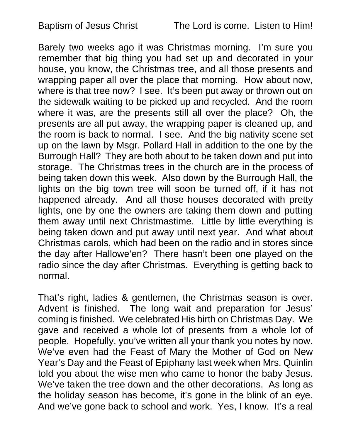Barely two weeks ago it was Christmas morning. I'm sure you remember that big thing you had set up and decorated in your house, you know, the Christmas tree, and all those presents and wrapping paper all over the place that morning. How about now, where is that tree now? I see. It's been put away or thrown out on the sidewalk waiting to be picked up and recycled. And the room where it was, are the presents still all over the place? Oh, the presents are all put away, the wrapping paper is cleaned up, and the room is back to normal. I see. And the big nativity scene set up on the lawn by Msgr. Pollard Hall in addition to the one by the Burrough Hall? They are both about to be taken down and put into storage. The Christmas trees in the church are in the process of being taken down this week. Also down by the Burrough Hall, the lights on the big town tree will soon be turned off, if it has not happened already. And all those houses decorated with pretty lights, one by one the owners are taking them down and putting them away until next Christmastime. Little by little everything is being taken down and put away until next year. And what about Christmas carols, which had been on the radio and in stores since the day after Hallowe'en? There hasn't been one played on the radio since the day after Christmas. Everything is getting back to normal.

That's right, ladies & gentlemen, the Christmas season is over. Advent is finished. The long wait and preparation for Jesus' coming is finished. We celebrated His birth on Christmas Day. We gave and received a whole lot of presents from a whole lot of people. Hopefully, you've written all your thank you notes by now. We've even had the Feast of Mary the Mother of God on New Year's Day and the Feast of Epiphany last week when Mrs. Quinlin told you about the wise men who came to honor the baby Jesus. We've taken the tree down and the other decorations. As long as the holiday season has become, it's gone in the blink of an eye. And we've gone back to school and work. Yes, I know. It's a real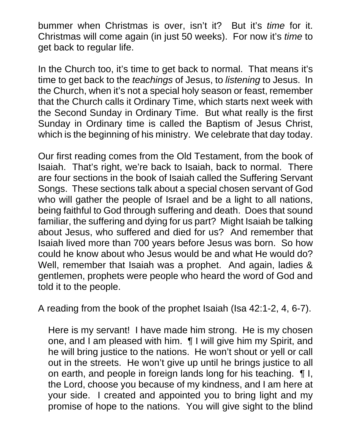bummer when Christmas is over, isn't it? But it's *time* for it. Christmas will come again (in just 50 weeks). For now it's *time* to get back to regular life.

In the Church too, it's time to get back to normal. That means it's time to get back to the *teachings* of Jesus, to *listening* to Jesus. In the Church, when it's not a special holy season or feast, remember that the Church calls it Ordinary Time, which starts next week with the Second Sunday in Ordinary Time. But what really is the first Sunday in Ordinary time is called the Baptism of Jesus Christ, which is the beginning of his ministry. We celebrate that day today.

Our first reading comes from the Old Testament, from the book of Isaiah. That's right, we're back to Isaiah, back to normal. There are four sections in the book of Isaiah called the Suffering Servant Songs. These sections talk about a special chosen servant of God who will gather the people of Israel and be a light to all nations, being faithful to God through suffering and death. Does that sound familiar, the suffering and dying for us part? Might Isaiah be talking about Jesus, who suffered and died for us? And remember that Isaiah lived more than 700 years before Jesus was born. So how could he know about who Jesus would be and what He would do? Well, remember that Isaiah was a prophet. And again, ladies & gentlemen, prophets were people who heard the word of God and told it to the people.

A reading from the book of the prophet Isaiah (Isa 42:1-2, 4, 6-7).

Here is my servant! I have made him strong. He is my chosen one, and I am pleased with him. ¶ I will give him my Spirit, and he will bring justice to the nations. He won't shout or yell or call out in the streets. He won't give up until he brings justice to all on earth, and people in foreign lands long for his teaching. ¶ I, the Lord, choose you because of my kindness, and I am here at your side. I created and appointed you to bring light and my promise of hope to the nations. You will give sight to the blind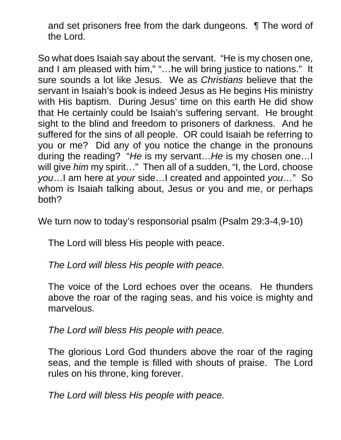and set prisoners free from the dark dungeons. ¶ The word of the Lord.

So what does Isaiah say about the servant. "He is my chosen one, and I am pleased with him," "…he will bring justice to nations." It sure sounds a lot like Jesus. We as *Christians* believe that the servant in Isaiah's book is indeed Jesus as He begins His ministry with His baptism. During Jesus' time on this earth He did show that He certainly could be Isaiah's suffering servant. He brought sight to the blind and freedom to prisoners of darkness. And he suffered for the sins of all people. OR could Isaiah be referring to you or me? Did any of you notice the change in the pronouns during the reading? "*He* is my servant…*He* is my chosen one…I will give *him* my spirit…" Then all of a sudden, "I, the Lord, choose *you*…I am here at *your* side…I created and appointed *you*…" So whom is Isaiah talking about, Jesus or you and me, or perhaps both?

We turn now to today's responsorial psalm (Psalm 29:3-4,9-10)

The Lord will bless His people with peace.

*The Lord will bless His people with peace.* 

The voice of the Lord echoes over the oceans. He thunders above the roar of the raging seas, and his voice is mighty and marvelous.

*The Lord will bless His people with peace.* 

The glorious Lord God thunders above the roar of the raging seas, and the temple is filled with shouts of praise. The Lord rules on his throne, king forever.

*The Lord will bless His people with peace.*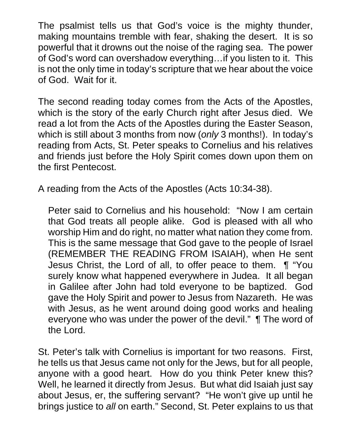The psalmist tells us that God's voice is the mighty thunder, making mountains tremble with fear, shaking the desert. It is so powerful that it drowns out the noise of the raging sea. The power of God's word can overshadow everything…if you listen to it. This is not the only time in today's scripture that we hear about the voice of God. Wait for it.

The second reading today comes from the Acts of the Apostles, which is the story of the early Church right after Jesus died. We read a lot from the Acts of the Apostles during the Easter Season, which is still about 3 months from now (*only* 3 months!). In today's reading from Acts, St. Peter speaks to Cornelius and his relatives and friends just before the Holy Spirit comes down upon them on the first Pentecost.

A reading from the Acts of the Apostles (Acts 10:34-38).

Peter said to Cornelius and his household: "Now I am certain that God treats all people alike. God is pleased with all who worship Him and do right, no matter what nation they come from. This is the same message that God gave to the people of Israel (REMEMBER THE READING FROM ISAIAH), when He sent Jesus Christ, the Lord of all, to offer peace to them. ¶ "You surely know what happened everywhere in Judea. It all began in Galilee after John had told everyone to be baptized. God gave the Holy Spirit and power to Jesus from Nazareth. He was with Jesus, as he went around doing good works and healing everyone who was under the power of the devil." ¶ The word of the Lord.

St. Peter's talk with Cornelius is important for two reasons. First, he tells us that Jesus came not only for the Jews, but for all people, anyone with a good heart. How do you think Peter knew this? Well, he learned it directly from Jesus. But what did Isaiah just say about Jesus, er, the suffering servant? "He won't give up until he brings justice to *all* on earth." Second, St. Peter explains to us that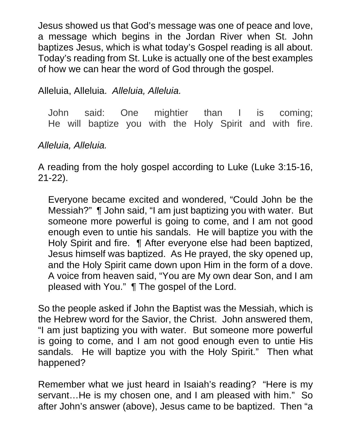Jesus showed us that God's message was one of peace and love, a message which begins in the Jordan River when St. John baptizes Jesus, which is what today's Gospel reading is all about. Today's reading from St. Luke is actually one of the best examples of how we can hear the word of God through the gospel.

Alleluia, Alleluia. *Alleluia, Alleluia.*

John said: One mightier than I is coming; He will baptize you with the Holy Spirit and with fire.

## *Alleluia, Alleluia.*

A reading from the holy gospel according to Luke (Luke 3:15-16, 21-22).

Everyone became excited and wondered, "Could John be the Messiah?" ¶ John said, "I am just baptizing you with water. But someone more powerful is going to come, and I am not good enough even to untie his sandals. He will baptize you with the Holy Spirit and fire. ¶ After everyone else had been baptized, Jesus himself was baptized. As He prayed, the sky opened up, and the Holy Spirit came down upon Him in the form of a dove. A voice from heaven said, "You are My own dear Son, and I am pleased with You." ¶ The gospel of the Lord.

So the people asked if John the Baptist was the Messiah, which is the Hebrew word for the Savior, the Christ. John answered them, "I am just baptizing you with water. But someone more powerful is going to come, and I am not good enough even to untie His sandals. He will baptize you with the Holy Spirit." Then what happened?

Remember what we just heard in Isaiah's reading? "Here is my servant…He is my chosen one, and I am pleased with him." So after John's answer (above), Jesus came to be baptized. Then "a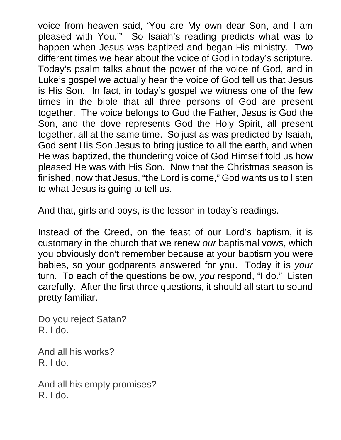voice from heaven said, 'You are My own dear Son, and I am pleased with You.'" So Isaiah's reading predicts what was to happen when Jesus was baptized and began His ministry. Two different times we hear about the voice of God in today's scripture. Today's psalm talks about the power of the voice of God, and in Luke's gospel we actually hear the voice of God tell us that Jesus is His Son. In fact, in today's gospel we witness one of the few times in the bible that all three persons of God are present together. The voice belongs to God the Father, Jesus is God the Son, and the dove represents God the Holy Spirit, all present together, all at the same time. So just as was predicted by Isaiah, God sent His Son Jesus to bring justice to all the earth, and when He was baptized, the thundering voice of God Himself told us how pleased He was with His Son. Now that the Christmas season is finished, now that Jesus, "the Lord is come," God wants us to listen to what Jesus is going to tell us.

And that, girls and boys, is the lesson in today's readings.

Instead of the Creed, on the feast of our Lord's baptism, it is customary in the church that we renew *our* baptismal vows, which you obviously don't remember because at your baptism you were babies, so your godparents answered for you. Today it is *your* turn. To each of the questions below, *you* respond, "I do." Listen carefully. After the first three questions, it should all start to sound pretty familiar.

Do you reject Satan? R. I do.

And all his works? R. I do.

And all his empty promises? R. I do.